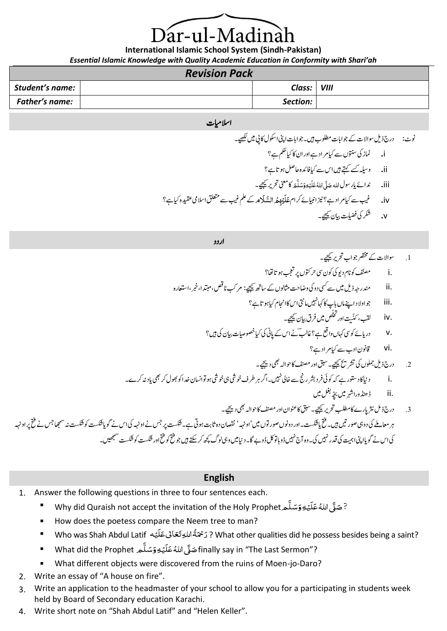# ár-ul-Madinà

**International Islamic School System (Sindh-Pakistan)**

*Essential Islamic Knowledge with Quality Academic Education in Conformity with Shari'ah*

| <b>Revision Pack</b>   |  |               |  |
|------------------------|--|---------------|--|
| <b>Student's name:</b> |  | Class:   VIII |  |
| Father's name:         |  | Section:      |  |

#### اسلامیات

ونٹ: درج ذلی وساالت ےک وجاابت ولطمب ںیہ۔وجاابت اینپ اوکسل اکیپ ںیم ےیھکل۔ i**.** امنز یک وتنسں ےس ایک رماد ےہ اور ان اک ایک مکح ےہ؟ ii**.** وہلیس ےسک ےتہک ںیہ اس ےس ایک افدئہ احلص وہات ےہ؟ َ دناےئ ای روسلہللا َ ّل صَ مَ َ َ ل سَ َ ِه و ْ ي َ ل َ ُہللا ع iii**.** اک ینعم رحتری ےیجیک۔ َ بیغ ےس ایک رماد ےہ؟زین اایبنےئ رکام م َل ِمُ السََ ْیْ َ ل َ iv**.** ع ےک ملع بیغ ےس قلعتم االسیم دیقعہ ایک ےہ؟ v**.** رکش یک تلیضف ایب ن ےیجیک۔

اردو

.1 وساالت ےک رصتخم وجاب رحتری ےیجیک۔ .i فّنصم وک انم دوی یک وکن یس رحوتکں رپ بجعت وہات اھت؟ .ii دنمرہج ذلی ںیم ےس یسک دو یک واضتح اثمولں ےک اسھت ےیجیک: رمبک انصق ، دتبما ، ربخ ، ااعتسرہ .iii وج اوالد اےنپ امں ابپ اک اہکںیہن امیتن اس اک ااجنم ایک وہات ےہ؟ ُّص ںیم رفق ایبن ےیجیک۔ لّ خ ت اور ّی ت .iv بقل ، کن .v درایےئ وکیس اہکں واعق ےہ؟ اغبلؔ ےن اس ےک اپین یک ایک وصخایصت ایبن یک ںیہ؟ .vi اقونن ادب ےس ایک رماد ےہ؟ .2 درج ذلی ولمجں یک رشتحی ےیجیک۔ قبس اور فنصم اک وحاہل یھب دےیجی۔ .i داین اک دوتسر ےہ ہک وکیئ رفد رشب رجن ےس اخیل ںیہن ۔ارگ رہ رطف وخیش یہ وخیش وہوت ااسنن دخا وک وھبل رک یھب اید ہنرکے۔ رثن .3 درجذي اپرے اک ت بل رحتریےیجیک۔قبس اک ونعان اور فنصم اک وحاہل یھب دےیجی۔ رہ اعمےلم یک دو یہ وصرںیت ںیہ۔حتف ای تسکش۔ اور دوونں وصروت ں ںیم 'اوہہن' اصقنن دہ اثتب وہیت ےہ۔تسکش رپ سج ےن اوہہن یک اس ےن وگای تسکش وک تسکش ہن اھجمس سج ےن حتف رپ اوہہن یک اس ےن وگای اینپ اتیمہ یک دقر ںیہن یک۔ وہ آج ںیہن ڈواب وت لک ڈوےب اگ۔داین ںیم ویہ ولگ ھچک رک ےتکس ںیہوج حتف وک حتف اور تسکش وک تسکش ںیھجمس۔ .ii ڈڈنھورا رہش ںیم ہّچب لغب ںیم

### **English**

- 1. Answer the following questions in three to four sentences each.
	- -<br>? صَلَّى اللهُ عَلَيْهِ وَسَلَّم Why did Quraish not accept the invitation of the Holy Prophet ہ<br>آ ِ<br>ِ ً<br>ة ؚ<br>ۣ .<br>آ ً<br>ءَ ََ
	- How does the poetess compare the Neem tree to man?
	- Who was Shah Abdul Latif ه ي ل ع َاٰل ع ِ ہللا ت ة َْ ْح ر ? What other qualities did he possess besides being a saint? ْ .<br>آ ً<br>ءَ ی ا<br>آ ا<br>الم ر<br>د
	- What did the Prophet م ل س ِه و ي ل ُ ہللا ع ّل َصfinally say in "The Last Sermon"? ់<br>ពី ِ<br>ِ َ ់<br>ខែ .<br>آ َ ہ<br>ا
	- What different objects were discovered from the ruins of Moen-jo-Daro?
- 2. Write an essay of "A house on fire".
- 3. Write an application to the headmaster of your school to allow you for a participating in students week held by Board of Secondary education Karachi.
- 4. Write short note on "Shah Abdul Latif" and "Helen Keller".